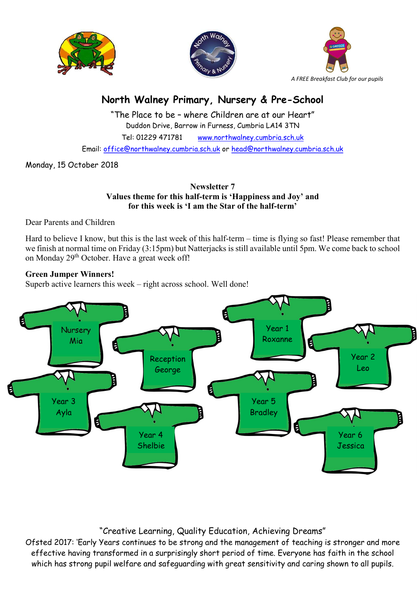





# North Walney Primary, Nursery & Pre-School

"The Place to be – where Children are at our Heart" Duddon Drive, Barrow in Furness, Cumbria LA14 3TN Tel: 01229 471781 www.northwalney.cumbria.sch.uk Email: office@northwalney.cumbria.sch.uk or head@northwalney.cumbria.sch.uk

Monday, 15 October 2018

Newsletter 7 Values theme for this half-term is 'Happiness and Joy' and for this week is 'I am the Star of the half-term'

Dear Parents and Children

Hard to believe I know, but this is the last week of this half-term – time is flying so fast! Please remember that we finish at normal time on Friday (3:15pm) but Natterjacks is still available until 5pm. We come back to school on Monday 29<sup>th</sup> October. Have a great week off!

# Green Jumper Winners!

Superb active learners this week – right across school. Well done!



# "Creative Learning, Quality Education, Achieving Dreams"

Ofsted 2017: 'Early Years continues to be strong and the management of teaching is stronger and more effective having transformed in a surprisingly short period of time. Everyone has faith in the school which has strong pupil welfare and safeguarding with great sensitivity and caring shown to all pupils.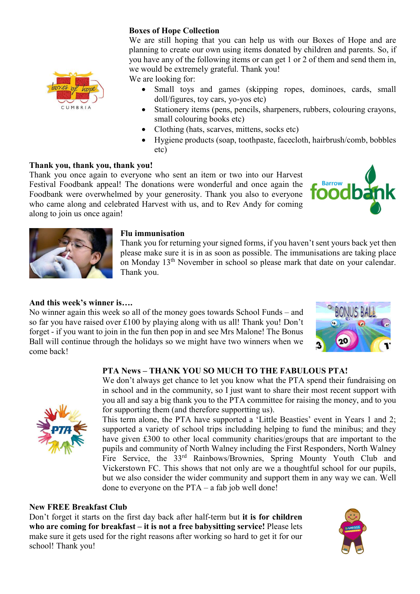# Boxes of Hope Collection

We are still hoping that you can help us with our Boxes of Hope and are planning to create our own using items donated by children and parents. So, if you have any of the following items or can get 1 or 2 of them and send them in, we would be extremely grateful. Thank you!

We are looking for:

- Small toys and games (skipping ropes, dominoes, cards, small doll/figures, toy cars, yo-yos etc)
- Stationery items (pens, pencils, sharpeners, rubbers, colouring crayons, small colouring books etc)
- Clothing (hats, scarves, mittens, socks etc)
- Hygiene products (soap, toothpaste, facecloth, hairbrush/comb, bobbles etc)

# Thank you, thank you, thank you!

CUMBRIA

Thank you once again to everyone who sent an item or two into our Harvest Festival Foodbank appeal! The donations were wonderful and once again the Foodbank were overwhelmed by your generosity. Thank you also to everyone who came along and celebrated Harvest with us, and to Rev Andy for coming along to join us once again!





#### Flu immunisation

Thank you for returning your signed forms, if you haven't sent yours back yet then please make sure it is in as soon as possible. The immunisations are taking place on Monday 13th November in school so please mark that date on your calendar. Thank you.

#### And this week's winner is….

No winner again this week so all of the money goes towards School Funds – and so far you have raised over £100 by playing along with us all! Thank you! Don't forget - if you want to join in the fun then pop in and see Mrs Malone! The Bonus Ball will continue through the holidays so we might have two winners when we come back!



#### PTA News – THANK YOU SO MUCH TO THE FABULOUS PTA!



We don't always get chance to let you know what the PTA spend their fundraising on in school and in the community, so I just want to share their most recent support with you all and say a big thank you to the PTA committee for raising the money, and to you for supporting them (and therefore supportting us).

This term alone, the PTA have supported a 'Little Beasties' event in Years 1 and 2; supported a variety of school trips includding helping to fund the minibus; and they have given £300 to other local community charities/groups that are important to the pupils and community of North Walney including the First Responders, North Walney Fire Service, the 33<sup>rd</sup> Rainbows/Brownies, Spring Mounty Youth Club and Vickerstown FC. This shows that not only are we a thoughtful school for our pupils, but we also consider the wider community and support them in any way we can. Well done to everyone on the PTA – a fab job well done!

#### New FREE Breakfast Club

Don't forget it starts on the first day back after half-term but it is for children who are coming for breakfast – it is not a free babysitting service! Please lets make sure it gets used for the right reasons after working so hard to get it for our school! Thank you!